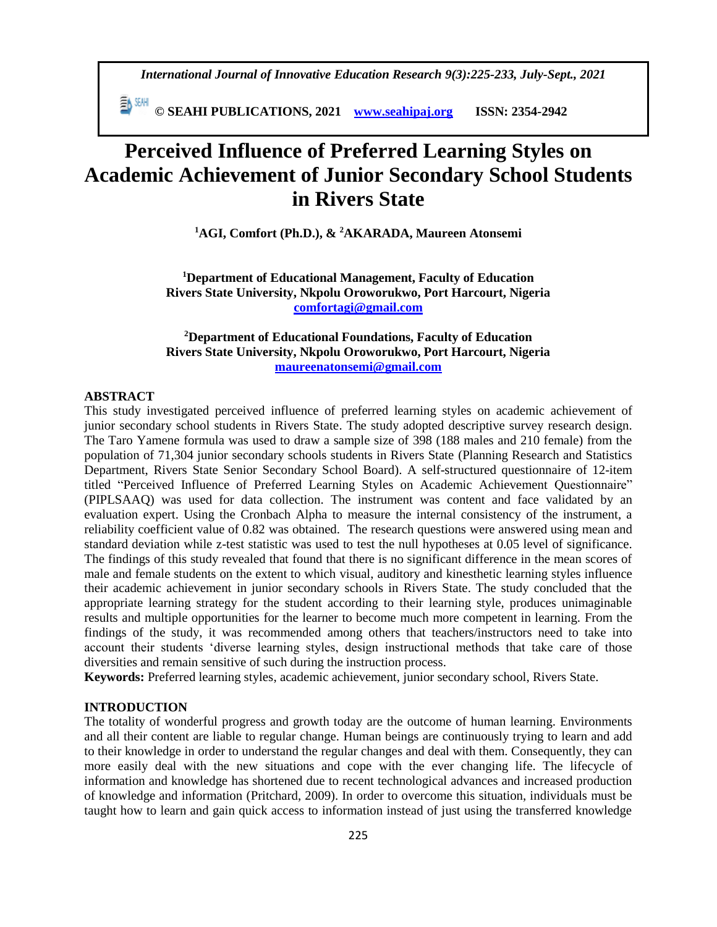*International Journal of Innovative Education Research 9(3):225-233, July-Sept., 2021*

 **© SEAHI PUBLICATIONS, 2021 [www.seahipaj.org](http://www.seahipaj.org/) ISSN: 2354-2942**

# **Perceived Influence of Preferred Learning Styles on Academic Achievement of Junior Secondary School Students in Rivers State**

**<sup>1</sup>AGI, Comfort (Ph.D.), & <sup>2</sup>AKARADA, Maureen Atonsemi**

**<sup>1</sup>Department of Educational Management, Faculty of Education Rivers State University, Nkpolu Oroworukwo, Port Harcourt, Nigeria [comfortagi@gmail.com](mailto:comfortagi@gmail.com)**

## **<sup>2</sup>Department of Educational Foundations, Faculty of Education Rivers State University, Nkpolu Oroworukwo, Port Harcourt, Nigeria [maureenatonsemi@gmail.com](mailto:maureenatonsemi@gmail.com)**

#### **ABSTRACT**

This study investigated perceived influence of preferred learning styles on academic achievement of junior secondary school students in Rivers State. The study adopted descriptive survey research design. The Taro Yamene formula was used to draw a sample size of 398 (188 males and 210 female) from the population of 71,304 junior secondary schools students in Rivers State (Planning Research and Statistics Department, Rivers State Senior Secondary School Board). A self-structured questionnaire of 12-item titled "Perceived Influence of Preferred Learning Styles on Academic Achievement Questionnaire" (PIPLSAAQ) was used for data collection. The instrument was content and face validated by an evaluation expert. Using the Cronbach Alpha to measure the internal consistency of the instrument, a reliability coefficient value of 0.82 was obtained. The research questions were answered using mean and standard deviation while z-test statistic was used to test the null hypotheses at 0.05 level of significance. The findings of this study revealed that found that there is no significant difference in the mean scores of male and female students on the extent to which visual, auditory and kinesthetic learning styles influence their academic achievement in junior secondary schools in Rivers State. The study concluded that the appropriate learning strategy for the student according to their learning style, produces unimaginable results and multiple opportunities for the learner to become much more competent in learning. From the findings of the study, it was recommended among others that teachers/instructors need to take into account their students 'diverse learning styles, design instructional methods that take care of those diversities and remain sensitive of such during the instruction process.

**Keywords:** Preferred learning styles, academic achievement, junior secondary school, Rivers State.

#### **INTRODUCTION**

The totality of wonderful progress and growth today are the outcome of human learning. Environments and all their content are liable to regular change. Human beings are continuously trying to learn and add to their knowledge in order to understand the regular changes and deal with them. Consequently, they can more easily deal with the new situations and cope with the ever changing life. The lifecycle of information and knowledge has shortened due to recent technological advances and increased production of knowledge and information (Pritchard, 2009). In order to overcome this situation, individuals must be taught how to learn and gain quick access to information instead of just using the transferred knowledge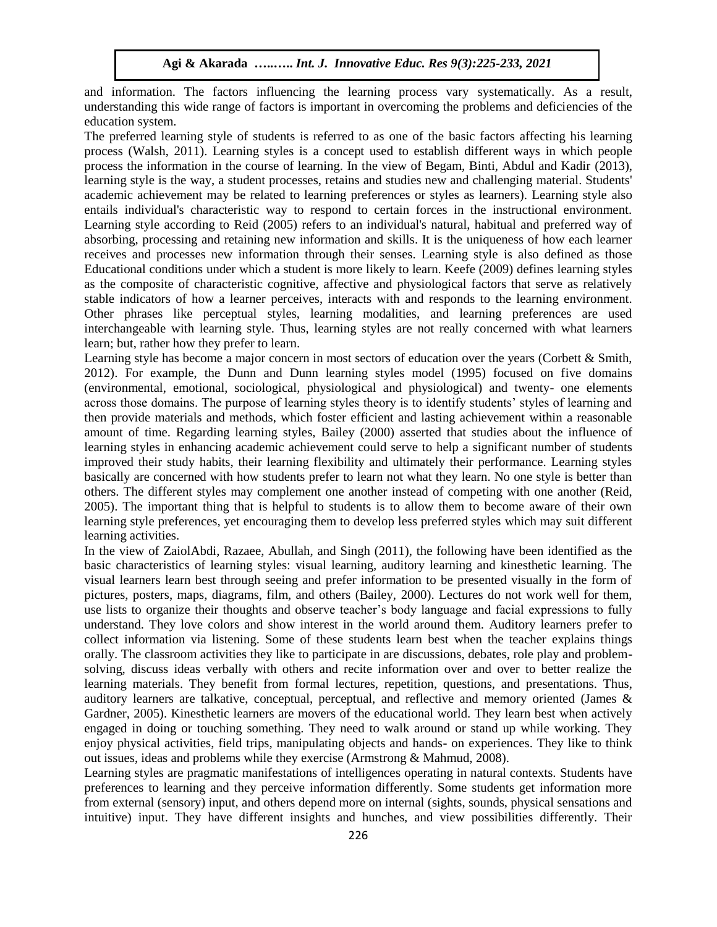and information. The factors influencing the learning process vary systematically. As a result, understanding this wide range of factors is important in overcoming the problems and deficiencies of the education system.

The preferred learning style of students is referred to as one of the basic factors affecting his learning process (Walsh, 2011). Learning styles is a concept used to establish different ways in which people process the information in the course of learning. In the view of Begam, Binti, Abdul and Kadir (2013), learning style is the way, a student processes, retains and studies new and challenging material. Students' academic achievement may be related to learning preferences or styles as learners). Learning style also entails individual's characteristic way to respond to certain forces in the instructional environment. Learning style according to Reid (2005) refers to an individual's natural, habitual and preferred way of absorbing, processing and retaining new information and skills. It is the uniqueness of how each learner receives and processes new information through their senses. Learning style is also defined as those Educational conditions under which a student is more likely to learn. Keefe (2009) defines learning styles as the composite of characteristic cognitive, affective and physiological factors that serve as relatively stable indicators of how a learner perceives, interacts with and responds to the learning environment. Other phrases like perceptual styles, learning modalities, and learning preferences are used interchangeable with learning style. Thus, learning styles are not really concerned with what learners learn; but, rather how they prefer to learn.

Learning style has become a major concern in most sectors of education over the years (Corbett & Smith, 2012). For example, the Dunn and Dunn learning styles model (1995) focused on five domains (environmental, emotional, sociological, physiological and physiological) and twenty- one elements across those domains. The purpose of learning styles theory is to identify students' styles of learning and then provide materials and methods, which foster efficient and lasting achievement within a reasonable amount of time. Regarding learning styles, Bailey (2000) asserted that studies about the influence of learning styles in enhancing academic achievement could serve to help a significant number of students improved their study habits, their learning flexibility and ultimately their performance. Learning styles basically are concerned with how students prefer to learn not what they learn. No one style is better than others. The different styles may complement one another instead of competing with one another (Reid, 2005). The important thing that is helpful to students is to allow them to become aware of their own learning style preferences, yet encouraging them to develop less preferred styles which may suit different learning activities.

In the view of ZaiolAbdi, Razaee, Abullah, and Singh (2011), the following have been identified as the basic characteristics of learning styles: visual learning, auditory learning and kinesthetic learning. The visual learners learn best through seeing and prefer information to be presented visually in the form of pictures, posters, maps, diagrams, film, and others (Bailey, 2000). Lectures do not work well for them, use lists to organize their thoughts and observe teacher's body language and facial expressions to fully understand. They love colors and show interest in the world around them. Auditory learners prefer to collect information via listening. Some of these students learn best when the teacher explains things orally. The classroom activities they like to participate in are discussions, debates, role play and problemsolving, discuss ideas verbally with others and recite information over and over to better realize the learning materials. They benefit from formal lectures, repetition, questions, and presentations. Thus, auditory learners are talkative, conceptual, perceptual, and reflective and memory oriented (James & Gardner, 2005). Kinesthetic learners are movers of the educational world. They learn best when actively engaged in doing or touching something. They need to walk around or stand up while working. They enjoy physical activities, field trips, manipulating objects and hands- on experiences. They like to think out issues, ideas and problems while they exercise (Armstrong & Mahmud, 2008).

Learning styles are pragmatic manifestations of intelligences operating in natural contexts. Students have preferences to learning and they perceive information differently. Some students get information more from external (sensory) input, and others depend more on internal (sights, sounds, physical sensations and intuitive) input. They have different insights and hunches, and view possibilities differently. Their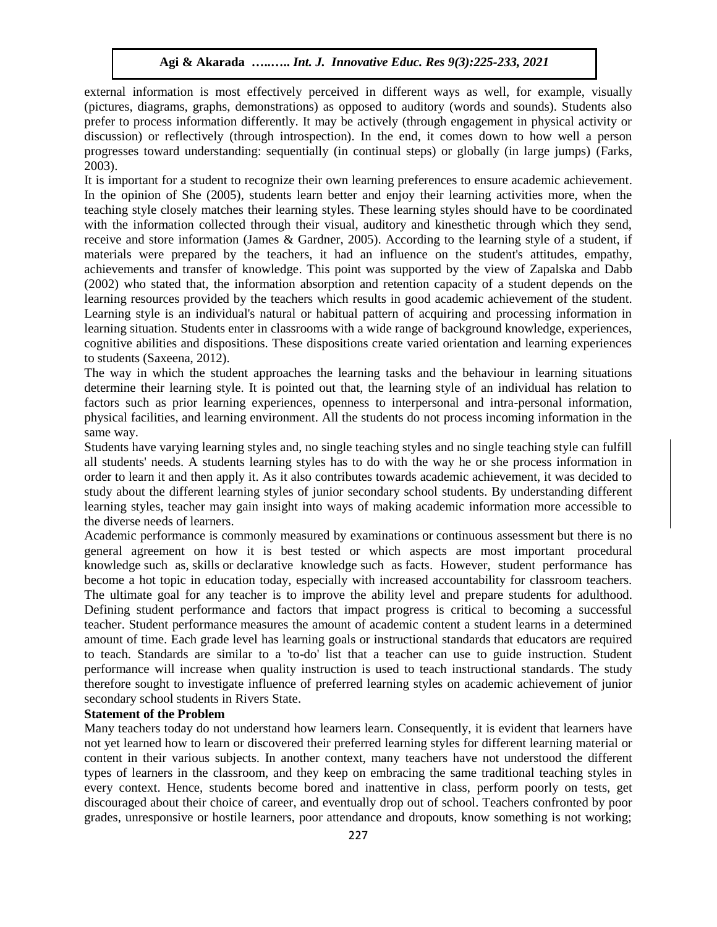external information is most effectively perceived in different ways as well, for example, visually (pictures, diagrams, graphs, demonstrations) as opposed to auditory (words and sounds). Students also prefer to process information differently. It may be actively (through engagement in physical activity or discussion) or reflectively (through introspection). In the end, it comes down to how well a person progresses toward understanding: sequentially (in continual steps) or globally (in large jumps) (Farks, 2003).

It is important for a student to recognize their own learning preferences to ensure academic achievement. In the opinion of She (2005), students learn better and enjoy their learning activities more, when the teaching style closely matches their learning styles. These learning styles should have to be coordinated with the information collected through their visual, auditory and kinesthetic through which they send, receive and store information (James & Gardner, 2005). According to the learning style of a student, if materials were prepared by the teachers, it had an influence on the student's attitudes, empathy, achievements and transfer of knowledge. This point was supported by the view of Zapalska and Dabb (2002) who stated that, the information absorption and retention capacity of a student depends on the learning resources provided by the teachers which results in good academic achievement of the student. Learning style is an individual's natural or habitual pattern of acquiring and processing information in learning situation. Students enter in classrooms with a wide range of background knowledge, experiences, cognitive abilities and dispositions. These dispositions create varied orientation and learning experiences to students (Saxeena, 2012).

The way in which the student approaches the learning tasks and the behaviour in learning situations determine their learning style. It is pointed out that, the learning style of an individual has relation to factors such as prior learning experiences, openness to interpersonal and intra-personal information, physical facilities, and learning environment. All the students do not process incoming information in the same way.

Students have varying learning styles and, no single teaching styles and no single teaching style can fulfill all students' needs. A students learning styles has to do with the way he or she process information in order to learn it and then apply it. As it also contributes towards academic achievement, it was decided to study about the different learning styles of junior secondary school students. By understanding different learning styles, teacher may gain insight into ways of making academic information more accessible to the diverse needs of learners.

Academic performance is commonly measured by [examinations](https://en.wikipedia.org/wiki/Test_(assessment)) or [continuous assessment](https://en.wikipedia.org/wiki/Continuous_assessment) but there is no general agreement on how it is best tested or which aspects are most important [procedural](https://en.wikipedia.org/wiki/Procedural_knowledge)  [knowledge](https://en.wikipedia.org/wiki/Procedural_knowledge) such as, [skills](https://en.wikipedia.org/wiki/Skill) or [declarative knowledge](https://en.wikipedia.org/wiki/Declarative_knowledge) such as [facts.](https://en.wikipedia.org/wiki/Fact) However, student performance has become a hot topic in education today, especially with increased accountability for classroom teachers. The ultimate goal for any teacher is to improve the ability level and prepare students for adulthood. Defining student performance and factors that impact progress is critical to becoming a successful teacher. Student performance measures the amount of academic content a student learns in a determined amount of time. Each grade level has learning goals or instructional standards that educators are required to teach. Standards are similar to a 'to-do' list that a teacher can use to guide instruction. Student performance will increase when quality instruction is used to teach instructional standards. The study therefore sought to investigate influence of preferred learning styles on academic achievement of junior secondary school students in Rivers State.

# **Statement of the Problem**

Many teachers today do not understand how learners learn. Consequently, it is evident that learners have not yet learned how to learn or discovered their preferred learning styles for different learning material or content in their various subjects. In another context, many teachers have not understood the different types of learners in the classroom, and they keep on embracing the same traditional teaching styles in every context. Hence, students become bored and inattentive in class, perform poorly on tests, get discouraged about their choice of career, and eventually drop out of school. Teachers confronted by poor grades, unresponsive or hostile learners, poor attendance and dropouts, know something is not working;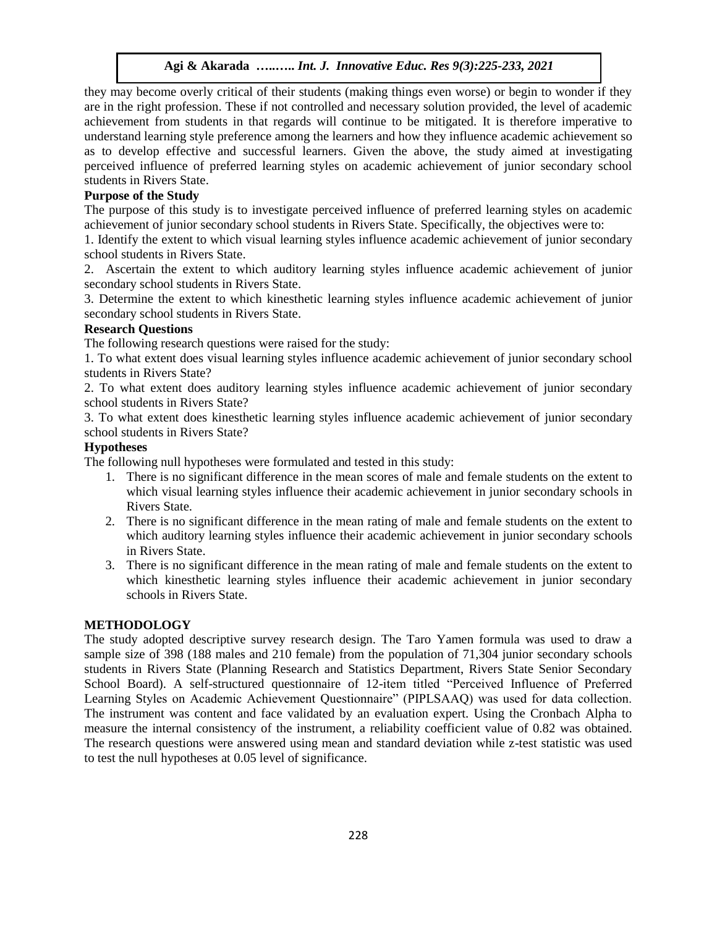they may become overly critical of their students (making things even worse) or begin to wonder if they are in the right profession. These if not controlled and necessary solution provided, the level of academic achievement from students in that regards will continue to be mitigated. It is therefore imperative to understand learning style preference among the learners and how they influence academic achievement so as to develop effective and successful learners. Given the above, the study aimed at investigating perceived influence of preferred learning styles on academic achievement of junior secondary school students in Rivers State.

## **Purpose of the Study**

The purpose of this study is to investigate perceived influence of preferred learning styles on academic achievement of junior secondary school students in Rivers State. Specifically, the objectives were to:

1. Identify the extent to which visual learning styles influence academic achievement of junior secondary school students in Rivers State.

2. Ascertain the extent to which auditory learning styles influence academic achievement of junior secondary school students in Rivers State.

3. Determine the extent to which kinesthetic learning styles influence academic achievement of junior secondary school students in Rivers State.

## **Research Questions**

The following research questions were raised for the study:

1. To what extent does visual learning styles influence academic achievement of junior secondary school students in Rivers State?

2. To what extent does auditory learning styles influence academic achievement of junior secondary school students in Rivers State?

3. To what extent does kinesthetic learning styles influence academic achievement of junior secondary school students in Rivers State?

## **Hypotheses**

The following null hypotheses were formulated and tested in this study:

- 1. There is no significant difference in the mean scores of male and female students on the extent to which visual learning styles influence their academic achievement in junior secondary schools in Rivers State.
- 2. There is no significant difference in the mean rating of male and female students on the extent to which auditory learning styles influence their academic achievement in junior secondary schools in Rivers State.
- 3. There is no significant difference in the mean rating of male and female students on the extent to which kinesthetic learning styles influence their academic achievement in junior secondary schools in Rivers State.

## **METHODOLOGY**

The study adopted descriptive survey research design. The Taro Yamen formula was used to draw a sample size of 398 (188 males and 210 female) from the population of 71,304 junior secondary schools students in Rivers State (Planning Research and Statistics Department, Rivers State Senior Secondary School Board). A self-structured questionnaire of 12-item titled "Perceived Influence of Preferred Learning Styles on Academic Achievement Questionnaire" (PIPLSAAQ) was used for data collection. The instrument was content and face validated by an evaluation expert. Using the Cronbach Alpha to measure the internal consistency of the instrument, a reliability coefficient value of 0.82 was obtained. The research questions were answered using mean and standard deviation while z-test statistic was used to test the null hypotheses at 0.05 level of significance.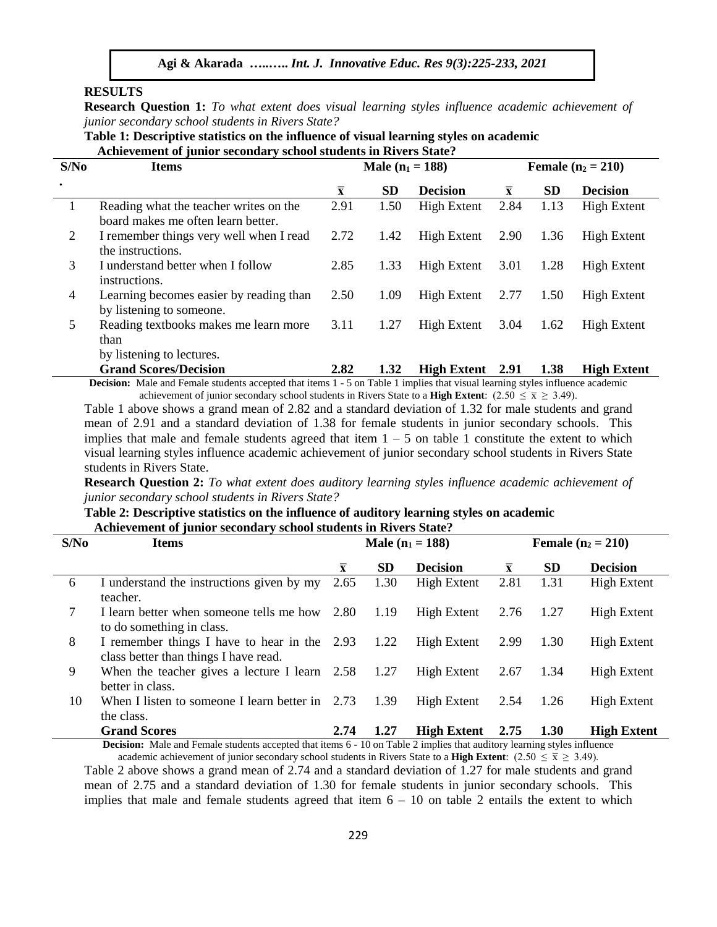#### **RESULTS**

**Research Question 1:** *To what extent does visual learning styles influence academic achievement of junior secondary school students in Rivers State?*

**Table 1: Descriptive statistics on the influence of visual learning styles on academic Achievement of junior secondary school students in Rivers State?**

| S/No           | <b>Items</b>                                                                                                                          |                         | <b>Male</b> $(n_1 = 188)$ |                    | <b>Female</b> $(n_2 = 210)$ |           |                    |  |
|----------------|---------------------------------------------------------------------------------------------------------------------------------------|-------------------------|---------------------------|--------------------|-----------------------------|-----------|--------------------|--|
|                |                                                                                                                                       | $\overline{\mathbf{x}}$ | <b>SD</b>                 | <b>Decision</b>    | $\overline{\mathbf{x}}$     | <b>SD</b> | <b>Decision</b>    |  |
|                | Reading what the teacher writes on the<br>board makes me often learn better.                                                          | 2.91                    | 1.50                      | <b>High Extent</b> | 2.84                        | 1.13      | <b>High Extent</b> |  |
| 2              | I remember things very well when I read<br>the instructions.                                                                          | 2.72                    | 1.42                      | <b>High Extent</b> | 2.90                        | 1.36      | High Extent        |  |
| 3              | I understand better when I follow<br>instructions.                                                                                    | 2.85                    | 1.33                      | <b>High Extent</b> | 3.01                        | 1.28      | <b>High Extent</b> |  |
| $\overline{4}$ | Learning becomes easier by reading than<br>by listening to some one.                                                                  | 2.50                    | 1.09                      | High Extent        | 2.77                        | 1.50      | <b>High Extent</b> |  |
| 5              | Reading textbooks makes me learn more<br>than<br>by listening to lectures.                                                            | 3.11                    | 1.27                      | High Extent        | 3.04                        | 1.62      | High Extent        |  |
|                | <b>Grand Scores/Decision</b>                                                                                                          | 2.82                    | 1.32                      | <b>High Extent</b> | 2.91                        | 1.38      | <b>High Extent</b> |  |
|                | <b>Decision:</b> Male and Female students accepted that items 1 - 5 on Table 1 implies that visual learning styles influence academic |                         |                           |                    |                             |           |                    |  |

achievement of junior secondary school students in Rivers State to a **High Extent**:  $(2.50 \le \bar{x} \ge 3.49)$ .

Table 1 above shows a grand mean of 2.82 and a standard deviation of 1.32 for male students and grand mean of 2.91 and a standard deviation of 1.38 for female students in junior secondary schools. This implies that male and female students agreed that item  $1 - 5$  on table 1 constitute the extent to which visual learning styles influence academic achievement of junior secondary school students in Rivers State students in Rivers State.

**Research Question 2:** *To what extent does auditory learning styles influence academic achievement of junior secondary school students in Rivers State?*

## **Table 2: Descriptive statistics on the influence of auditory learning styles on academic Achievement of junior secondary school students in Rivers State?**

| S/No | <b>Items</b>                                                                                                                                         |                         |           | Male $(n_1 = 188)$ | <b>Female</b> $(n_2 = 210)$ |           |                    |
|------|------------------------------------------------------------------------------------------------------------------------------------------------------|-------------------------|-----------|--------------------|-----------------------------|-----------|--------------------|
|      |                                                                                                                                                      | $\overline{\mathbf{x}}$ | <b>SD</b> | <b>Decision</b>    | $\bar{x}$                   | <b>SD</b> | <b>Decision</b>    |
| 6    | I understand the instructions given by my<br>teacher.                                                                                                | 2.65                    | 1.30      | <b>High Extent</b> | 2.81                        | 1.31      | <b>High Extent</b> |
| 7    | I learn better when someone tells me how 2.80<br>to do something in class.                                                                           |                         | 1.19      | <b>High Extent</b> | 2.76                        | 1.27      | <b>High Extent</b> |
| 8    | I remember things I have to hear in the 2.93<br>class better than things I have read.                                                                |                         | 1.22      | High Extent        | 2.99                        | 1.30      | <b>High Extent</b> |
| 9    | When the teacher gives a lecture I learn $2.58$<br>better in class.                                                                                  |                         | 1.27      | <b>High Extent</b> | 2.67                        | 1.34      | <b>High Extent</b> |
| 10   | When I listen to some one I learn better in $2.73$<br>the class.                                                                                     |                         | 1.39      | High Extent        | 2.54                        | 1.26      | <b>High Extent</b> |
|      | <b>Grand Scores</b><br><b>Decision:</b> Male and Espela students accepted that items 6 10 on Table 2 implies that auditory learning styles influence | 2.74                    | 1.27      | <b>High Extent</b> | 2.75                        | 1.30      | <b>High Extent</b> |

**Decision:** Male and Female students accepted that items 6 - 10 on Table 2 implies that auditory learning styles influence academic achievement of junior secondary school students in Rivers State to a **High Extent**: (2.50  $\leq \overline{x} \geq 3.49$ ).

Table 2 above shows a grand mean of 2.74 and a standard deviation of 1.27 for male students and grand mean of 2.75 and a standard deviation of 1.30 for female students in junior secondary schools. This implies that male and female students agreed that item  $6 - 10$  on table 2 entails the extent to which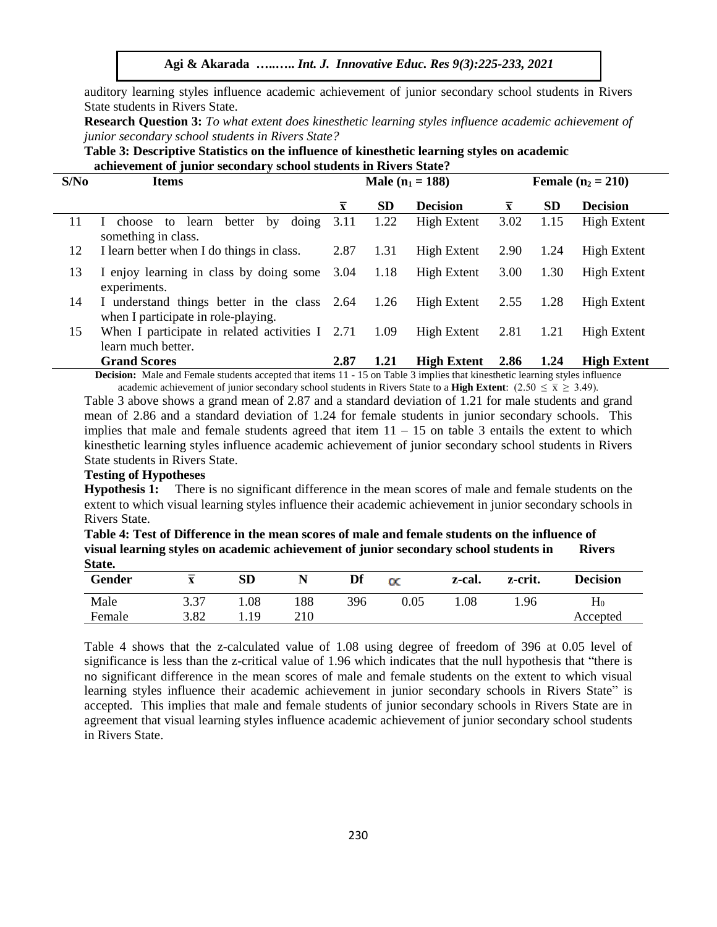auditory learning styles influence academic achievement of junior secondary school students in Rivers State students in Rivers State.

**Research Question 3:** *To what extent does kinesthetic learning styles influence academic achievement of junior secondary school students in Rivers State?*

| Table 3: Descriptive Statistics on the influence of kinesthetic learning styles on academic |
|---------------------------------------------------------------------------------------------|
| achievement of junior secondary school students in Rivers State?                            |

| S/No | <b>Items</b>                                                                        | Male $(n_1 = 188)$      |           |                    |                         | <b>Female</b> $(n_2 = 210)$ |                    |  |  |
|------|-------------------------------------------------------------------------------------|-------------------------|-----------|--------------------|-------------------------|-----------------------------|--------------------|--|--|
|      |                                                                                     | $\overline{\mathbf{x}}$ | <b>SD</b> | <b>Decision</b>    | $\overline{\mathbf{x}}$ | <b>SD</b>                   | <b>Decision</b>    |  |  |
| 11   | doing<br>better<br>choose to learn<br>by<br>$\mathbf{I}$<br>something in class.     | 3.11                    | 1.22      | High Extent        | 3.02                    | 1.15                        | <b>High Extent</b> |  |  |
| 12   | I learn better when I do things in class.                                           | 2.87                    | 1.31      | High Extent        | 2.90                    | 1.24                        | High Extent        |  |  |
| 13   | I enjoy learning in class by doing some 3.04<br>experiments.                        |                         | 1.18      | High Extent        | 3.00                    | 1.30                        | High Extent        |  |  |
| 14   | I understand things better in the class 2.64<br>when I participate in role-playing. |                         | 1.26      | <b>High Extent</b> | 2.55                    | 1.28                        | High Extent        |  |  |
| 15   | When I participate in related activities $I$ 2.71<br>learn much better.             |                         | 1.09      | High Extent        | 2.81                    | 1.21                        | High Extent        |  |  |
|      | <b>Grand Scores</b>                                                                 | 2.87                    | 1.21      | <b>High Extent</b> | 2.86                    | 1.24                        | <b>High Extent</b> |  |  |

**Decision:** Male and Female students accepted that items 11 - 15 on Table 3 implies that kinesthetic learning styles influence academic achievement of junior secondary school students in Rivers State to a **High Extent**: (2.50  $\leq \bar{x} \geq 3.49$ ).

Table 3 above shows a grand mean of 2.87 and a standard deviation of 1.21 for male students and grand mean of 2.86 and a standard deviation of 1.24 for female students in junior secondary schools. This implies that male and female students agreed that item  $11 - 15$  on table 3 entails the extent to which kinesthetic learning styles influence academic achievement of junior secondary school students in Rivers State students in Rivers State.

#### **Testing of Hypotheses**

**Hypothesis 1:** There is no significant difference in the mean scores of male and female students on the extent to which visual learning styles influence their academic achievement in junior secondary schools in Rivers State.

**Table 4: Test of Difference in the mean scores of male and female students on the influence of visual learning styles on academic achievement of junior secondary school students in Rivers State.**

| Gender | $\overline{\phantom{a}}$<br>$\mathbf{v}$<br>$\mathbf{A}$ | SD   | N   | Df  | $_{\alpha}$ | z-cal. | z-crit. | <b>Decision</b> |
|--------|----------------------------------------------------------|------|-----|-----|-------------|--------|---------|-----------------|
| Male   | 3.37                                                     | 1.08 | 188 | 396 | 0.05        | 1.08   | 1.96    | H <sub>0</sub>  |
| Female | 3.82                                                     | 1.19 | 210 |     |             |        |         | Accepted        |

Table 4 shows that the z-calculated value of 1.08 using degree of freedom of 396 at 0.05 level of significance is less than the z-critical value of 1.96 which indicates that the null hypothesis that "there is no significant difference in the mean scores of male and female students on the extent to which visual learning styles influence their academic achievement in junior secondary schools in Rivers State" is accepted. This implies that male and female students of junior secondary schools in Rivers State are in agreement that visual learning styles influence academic achievement of junior secondary school students in Rivers State.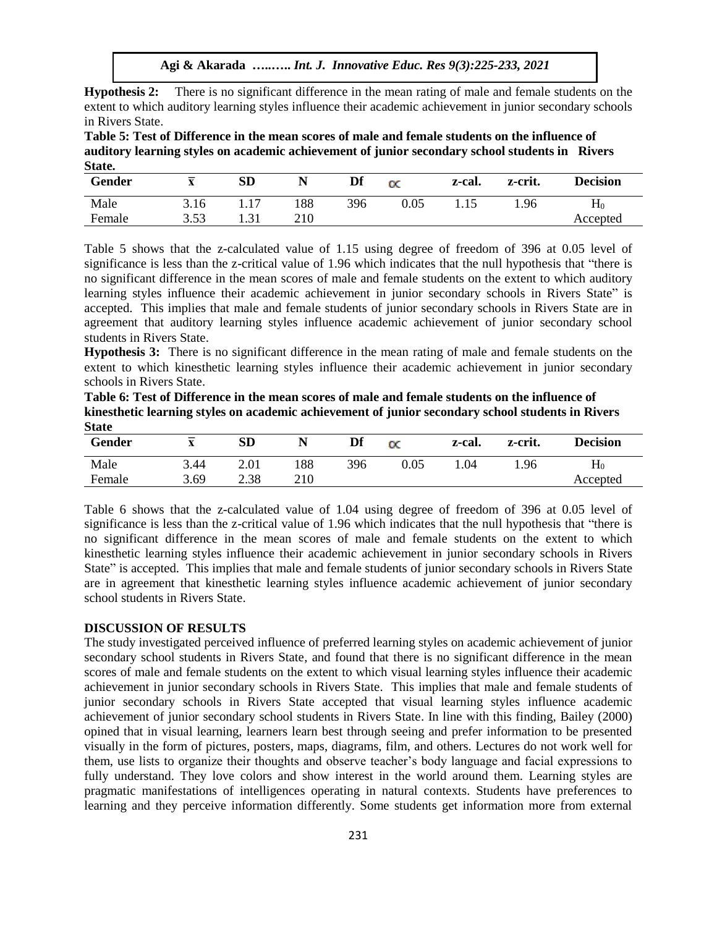**Hypothesis 2:** There is no significant difference in the mean rating of male and female students on the extent to which auditory learning styles influence their academic achievement in junior secondary schools in Rivers State.

**Table 5: Test of Difference in the mean scores of male and female students on the influence of auditory learning styles on academic achievement of junior secondary school students in Rivers State.**

| Gender | $\overline{\phantom{a}}$<br>$\mathbf{v}$ | <b>SD</b> |     | Df  | $\propto$  | z-cal. | z-crit. | <b>Decision</b> |
|--------|------------------------------------------|-----------|-----|-----|------------|--------|---------|-----------------|
| Male   | 3.16                                     | 17        | 188 | 396 | $\rm 0.05$ |        | 1.96    | $\rm H_0$       |
| Female | 3.53<br>ر ر                              | 1 . J 1   | 210 |     |            |        |         | Accepted        |

Table 5 shows that the z-calculated value of 1.15 using degree of freedom of 396 at 0.05 level of significance is less than the z-critical value of 1.96 which indicates that the null hypothesis that "there is no significant difference in the mean scores of male and female students on the extent to which auditory learning styles influence their academic achievement in junior secondary schools in Rivers State" is accepted. This implies that male and female students of junior secondary schools in Rivers State are in agreement that auditory learning styles influence academic achievement of junior secondary school students in Rivers State.

**Hypothesis 3:** There is no significant difference in the mean rating of male and female students on the extent to which kinesthetic learning styles influence their academic achievement in junior secondary schools in Rivers State.

**Table 6: Test of Difference in the mean scores of male and female students on the influence of kinesthetic learning styles on academic achievement of junior secondary school students in Rivers State**

| Gender | $\overline{\phantom{a}}$<br>$\Delta$ | SD   | N   | Df  | $_{\alpha}$ | z-cal. | z-crit. | <b>Decision</b>    |
|--------|--------------------------------------|------|-----|-----|-------------|--------|---------|--------------------|
| Male   | 3.44                                 | 2.01 | 188 | 396 | $0.05\,$    | .04    | 1.96    | $\mathbf{\Pi}_{0}$ |
| Female | 3.69                                 | 2.38 | 210 |     |             |        |         | Accepted           |

Table 6 shows that the z-calculated value of 1.04 using degree of freedom of 396 at 0.05 level of significance is less than the z-critical value of 1.96 which indicates that the null hypothesis that "there is no significant difference in the mean scores of male and female students on the extent to which kinesthetic learning styles influence their academic achievement in junior secondary schools in Rivers State" is accepted. This implies that male and female students of junior secondary schools in Rivers State are in agreement that kinesthetic learning styles influence academic achievement of junior secondary school students in Rivers State.

#### **DISCUSSION OF RESULTS**

The study investigated perceived influence of preferred learning styles on academic achievement of junior secondary school students in Rivers State, and found that there is no significant difference in the mean scores of male and female students on the extent to which visual learning styles influence their academic achievement in junior secondary schools in Rivers State. This implies that male and female students of junior secondary schools in Rivers State accepted that visual learning styles influence academic achievement of junior secondary school students in Rivers State. In line with this finding, Bailey (2000) opined that in visual learning, learners learn best through seeing and prefer information to be presented visually in the form of pictures, posters, maps, diagrams, film, and others. Lectures do not work well for them, use lists to organize their thoughts and observe teacher's body language and facial expressions to fully understand. They love colors and show interest in the world around them. Learning styles are pragmatic manifestations of intelligences operating in natural contexts. Students have preferences to learning and they perceive information differently. Some students get information more from external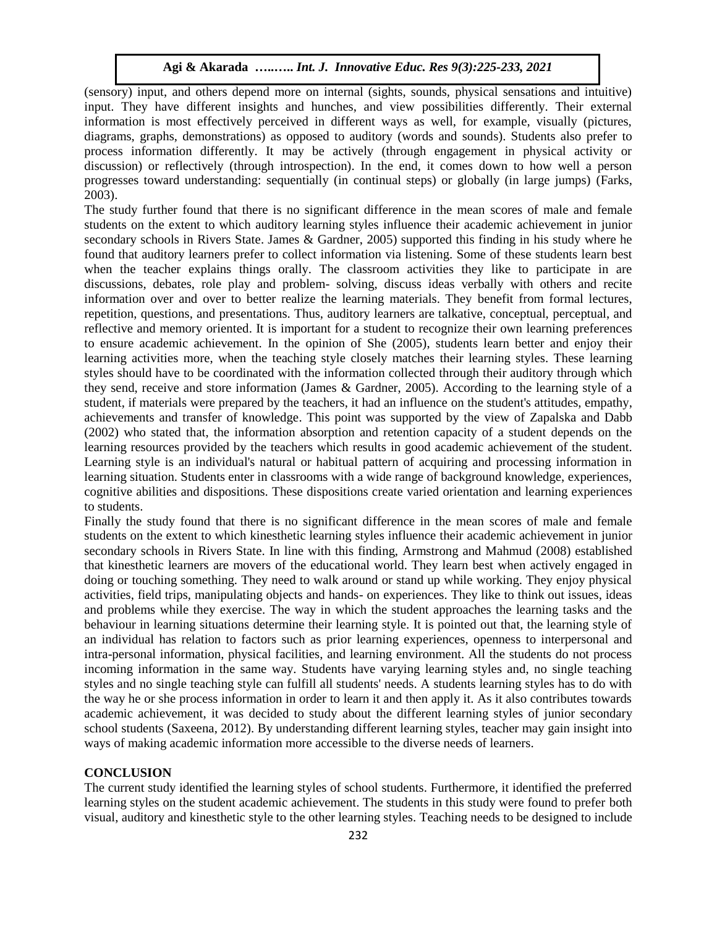(sensory) input, and others depend more on internal (sights, sounds, physical sensations and intuitive) input. They have different insights and hunches, and view possibilities differently. Their external information is most effectively perceived in different ways as well, for example, visually (pictures, diagrams, graphs, demonstrations) as opposed to auditory (words and sounds). Students also prefer to process information differently. It may be actively (through engagement in physical activity or discussion) or reflectively (through introspection). In the end, it comes down to how well a person progresses toward understanding: sequentially (in continual steps) or globally (in large jumps) (Farks, 2003).

The study further found that there is no significant difference in the mean scores of male and female students on the extent to which auditory learning styles influence their academic achievement in junior secondary schools in Rivers State. James & Gardner, 2005) supported this finding in his study where he found that auditory learners prefer to collect information via listening. Some of these students learn best when the teacher explains things orally. The classroom activities they like to participate in are discussions, debates, role play and problem- solving, discuss ideas verbally with others and recite information over and over to better realize the learning materials. They benefit from formal lectures, repetition, questions, and presentations. Thus, auditory learners are talkative, conceptual, perceptual, and reflective and memory oriented. It is important for a student to recognize their own learning preferences to ensure academic achievement. In the opinion of She (2005), students learn better and enjoy their learning activities more, when the teaching style closely matches their learning styles. These learning styles should have to be coordinated with the information collected through their auditory through which they send, receive and store information (James & Gardner, 2005). According to the learning style of a student, if materials were prepared by the teachers, it had an influence on the student's attitudes, empathy, achievements and transfer of knowledge. This point was supported by the view of Zapalska and Dabb (2002) who stated that, the information absorption and retention capacity of a student depends on the learning resources provided by the teachers which results in good academic achievement of the student. Learning style is an individual's natural or habitual pattern of acquiring and processing information in learning situation. Students enter in classrooms with a wide range of background knowledge, experiences, cognitive abilities and dispositions. These dispositions create varied orientation and learning experiences to students.

Finally the study found that there is no significant difference in the mean scores of male and female students on the extent to which kinesthetic learning styles influence their academic achievement in junior secondary schools in Rivers State. In line with this finding, Armstrong and Mahmud (2008) established that kinesthetic learners are movers of the educational world. They learn best when actively engaged in doing or touching something. They need to walk around or stand up while working. They enjoy physical activities, field trips, manipulating objects and hands- on experiences. They like to think out issues, ideas and problems while they exercise. The way in which the student approaches the learning tasks and the behaviour in learning situations determine their learning style. It is pointed out that, the learning style of an individual has relation to factors such as prior learning experiences, openness to interpersonal and intra-personal information, physical facilities, and learning environment. All the students do not process incoming information in the same way. Students have varying learning styles and, no single teaching styles and no single teaching style can fulfill all students' needs. A students learning styles has to do with the way he or she process information in order to learn it and then apply it. As it also contributes towards academic achievement, it was decided to study about the different learning styles of junior secondary school students (Saxeena, 2012). By understanding different learning styles, teacher may gain insight into ways of making academic information more accessible to the diverse needs of learners.

## **CONCLUSION**

The current study identified the learning styles of school students. Furthermore, it identified the preferred learning styles on the student academic achievement. The students in this study were found to prefer both visual, auditory and kinesthetic style to the other learning styles. Teaching needs to be designed to include